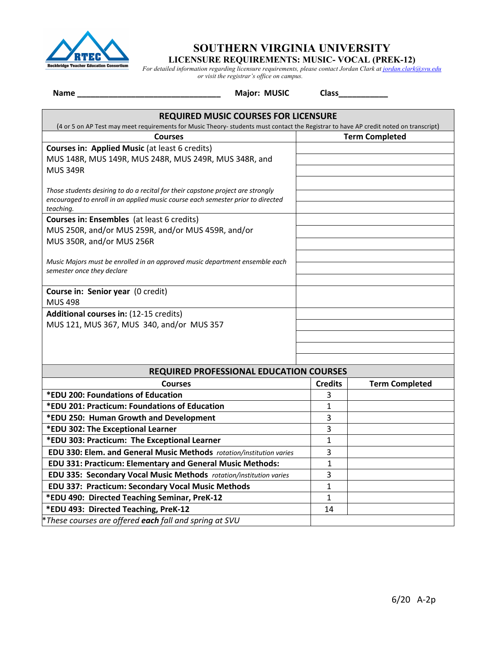

# **SOUTHERN VIRGINIA UNIVERSITY**

**LICENSURE REQUIREMENTS: MUSIC- VOCAL (PREK-12)**

*For detailed information regarding licensure requirements, please contact Jordan Clark at jordan.clark@svu.edu or visit the registrar's office on campus.*

**Name \_\_\_\_\_\_\_\_\_\_\_\_\_\_\_\_\_\_\_\_\_\_\_\_\_\_\_\_\_\_\_\_ Major: MUSIC Class\_\_\_\_\_\_\_\_\_\_\_**

| <b>REQUIRED MUSIC COURSES FOR LICENSURE</b><br>(4 or 5 on AP Test may meet requirements for Music Theory- students must contact the Registrar to have AP credit noted on transcript) |                |                       |  |
|--------------------------------------------------------------------------------------------------------------------------------------------------------------------------------------|----------------|-----------------------|--|
| <b>Courses</b>                                                                                                                                                                       |                | <b>Term Completed</b> |  |
| Courses in: Applied Music (at least 6 credits)<br>MUS 148R, MUS 149R, MUS 248R, MUS 249R, MUS 348R, and<br><b>MUS 349R</b>                                                           |                |                       |  |
| Those students desiring to do a recital for their capstone project are strongly<br>encouraged to enroll in an applied music course each semester prior to directed<br>teaching.      |                |                       |  |
| Courses in: Ensembles (at least 6 credits)<br>MUS 250R, and/or MUS 259R, and/or MUS 459R, and/or<br>MUS 350R, and/or MUS 256R                                                        |                |                       |  |
| Music Majors must be enrolled in an approved music department ensemble each<br>semester once they declare                                                                            |                |                       |  |
| Course in: Senior year (0 credit)<br><b>MUS 498</b>                                                                                                                                  |                |                       |  |
| Additional courses in: (12-15 credits)<br>MUS 121, MUS 367, MUS 340, and/or MUS 357                                                                                                  |                |                       |  |
| <b>REQUIRED PROFESSIONAL EDUCATION COURSES</b>                                                                                                                                       |                |                       |  |
| <b>Courses</b>                                                                                                                                                                       | <b>Credits</b> | <b>Term Completed</b> |  |
| *EDU 200: Foundations of Education                                                                                                                                                   | 3              |                       |  |
| *EDU 201: Practicum: Foundations of Education                                                                                                                                        | 1              |                       |  |
| *EDU 250: Human Growth and Development                                                                                                                                               |                |                       |  |
| *EDU 302: The Exceptional Learner                                                                                                                                                    | 3              |                       |  |
| *EDU 303: Practicum: The Exceptional Learner                                                                                                                                         | 1              |                       |  |
| EDU 330: Elem. and General Music Methods rotation/institution varies                                                                                                                 | 3              |                       |  |
| EDU 331: Practicum: Elementary and General Music Methods:                                                                                                                            | 1              |                       |  |
| EDU 335: Secondary Vocal Music Methods rotation/institution varies                                                                                                                   | 3              |                       |  |
| EDU 337: Practicum: Secondary Vocal Music Methods                                                                                                                                    | $\mathbf 1$    |                       |  |
| *EDU 490: Directed Teaching Seminar, PreK-12                                                                                                                                         | $\mathbf{1}$   |                       |  |
| *EDU 493: Directed Teaching, PreK-12                                                                                                                                                 |                |                       |  |
| *These courses are offered each fall and spring at SVU                                                                                                                               |                |                       |  |